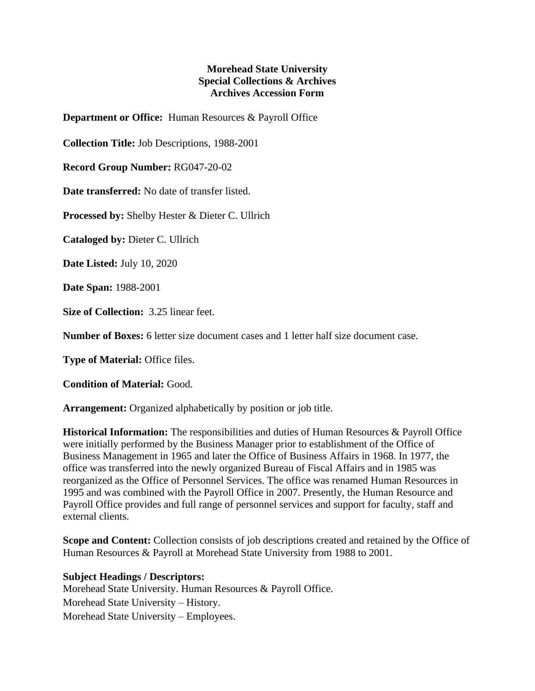## **Morehead State University Special Collections & Archives Archives Accession Form**

**Department or Office:** Human Resources & Payroll Office

**Collection Title:** Job Descriptions, 1988-2001

**Record Group Number:** RG047-20-02

**Date transferred:** No date of transfer listed.

**Processed by:** Shelby Hester & Dieter C. Ullrich

**Cataloged by:** Dieter C. Ullrich

**Date Listed:** July 10, 2020

**Date Span:** 1988-2001

**Size of Collection:** 3.25 linear feet.

**Number of Boxes:** 6 letter size document cases and 1 letter half size document case.

**Type of Material:** Office files.

**Condition of Material:** Good.

**Arrangement:** Organized alphabetically by position or job title.

**Historical Information:** The responsibilities and duties of Human Resources & Payroll Office were initially performed by the Business Manager prior to establishment of the Office of Business Management in 1965 and later the Office of Business Affairs in 1968. In 1977, the office was transferred into the newly organized Bureau of Fiscal Affairs and in 1985 was reorganized as the Office of Personnel Services. The office was renamed Human Resources in 1995 and was combined with the Payroll Office in 2007. Presently, the Human Resource and Payroll Office provides and full range of personnel services and support for faculty, staff and external clients.

**Scope and Content:** Collection consists of job descriptions created and retained by the Office of Human Resources & Payroll at Morehead State University from 1988 to 2001.

**Subject Headings / Descriptors:**

Morehead State University. Human Resources & Payroll Office. Morehead State University – History. Morehead State University – Employees.